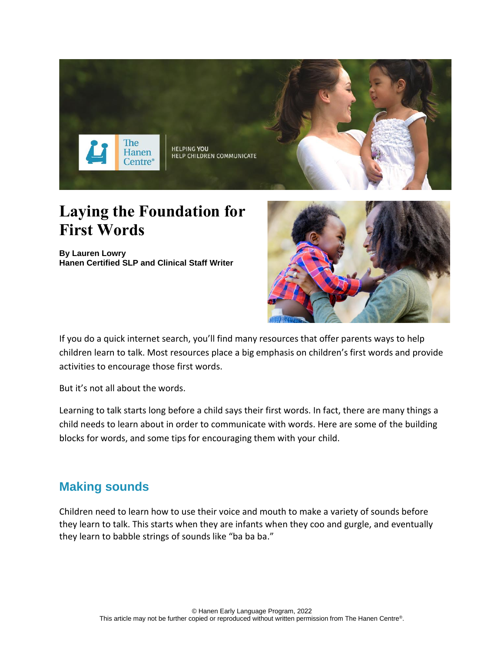

# **Laying the Foundation for First Words**

**By Lauren Lowry Hanen Certified SLP and Clinical Staff Writer**



If you do a quick internet search, you'll find many resources that offer parents ways to help children learn to talk. Most resources place a big emphasis on children's first words and provide activities to encourage those first words.

But it's not all about the words.

Learning to talk starts long before a child says their first words. In fact, there are many things a child needs to learn about in order to communicate with words. Here are some of the building blocks for words, and some tips for encouraging them with your child.

## **Making sounds**

Children need to learn how to use their voice and mouth to make a variety of sounds before they learn to talk. This starts when they are infants when they coo and gurgle, and eventually they learn to [babble](http://www.hanen.org/Helpful-Info/Articles/Baby-Babble--A-Stepping-Stone-to-Words.aspx) strings of sounds like "ba ba ba."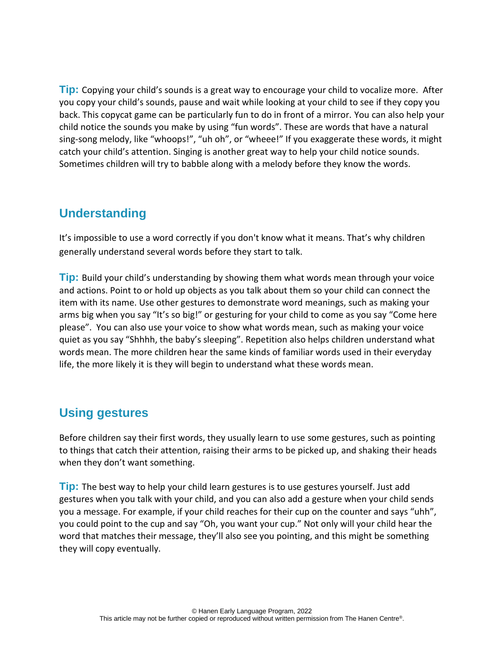**Tip:** Copying your child's sounds is a great way to encourage your child to vocalize more. After you copy your child's sounds, pause and wait while looking at your child to see if they copy you back. This copycat game can be particularly fun to do in front of a mirror. You can also help your child notice the sounds you make by using "fun words". These are words that have a natural sing-song melody, like "whoops!", "uh oh", or "wheee!" If you exaggerate these words, it might catch your child's attention. Singing is another great way to help your child notice sounds. Sometimes children will try to babble along with a melody before they know the words.

### **Understanding**

It's impossible to use a word correctly if you don't know what it means. That's why children generally understand several words before they start to talk.

**Tip:** [Build your child's understanding](http://www.hanen.org/Helpful-Info/Articles/Build-Your-Baby-s-Understanding--Match-What-You-Sa.aspx) by showing them what words mean through your voice and actions. Point to or hold up objects as you talk about them so your child can connect the item with its name. Use other gestures to demonstrate word meanings, such as making your arms big when you say "It's so big!" or gesturing for your child to come as you say "Come here please". You can also use your voice to show what words mean, such as making your voice quiet as you say "Shhhh, the baby's sleeping". Repetition also helps children understand what words mean. The more children hear the same kinds of familiar words used in their everyday life, the more likely it is they will begin to understand what these words mean.

# **Using gestures**

Before children say their first words, they usually learn to use some [gestures,](http://www.hanen.org/Helpful-Info/Articles/The-Importance-of-Gestures.aspx) such as pointing to things that catch their attention, raising their arms to be picked up, and shaking their heads when they don't want something.

**Tip:** The best way to help your child learn gestures is to use gestures yourself. Just add gestures when you talk with your child, and you can also add a gesture when your child sends you a message. For example, if your child reaches for their cup on the counter and says "uhh", you could point to the cup and say "Oh, you want your cup." Not only will your child hear the word that matches their message, they'll also see you pointing, and this might be something they will copy eventually.